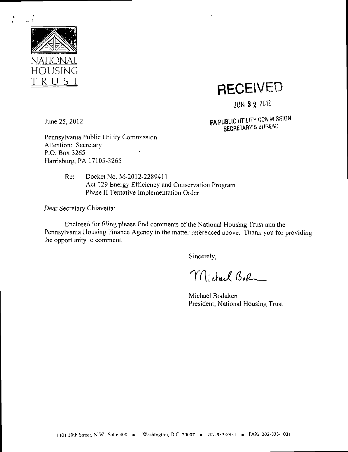



JUN 2 2 2012

June 25,2012

PA PUBLIC UTILITY COMMISSION SECRETARY'S BUREAU

Pennsylvania Public Utility Commission Attention: Secretary P.O. Box 3265 Harrisburg, PA 17105-3265

> Re: Docket No. M-2012-2289411 Act 129 Energy Efficiency and Conservation Program Phase II Tentative Implementation Order

Dear Secretary Chiavetta:

Enclosed for filing please find comments of the National Housing Trust and the Pennsylvania Housing Finance Agency in the matter referenced above. Thank you for providing the opportunity to comment.

Sincerely,

Michael Bod

Michael Bodaken President, National Housing Trust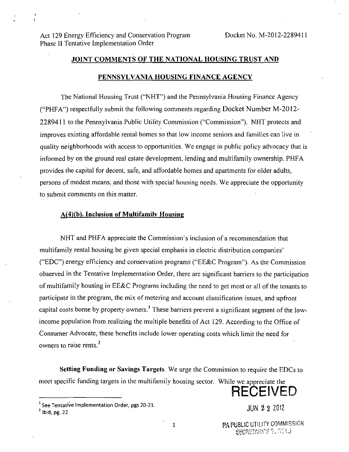Act 129 Energy Efficiency and Conservation Program Docket No. M-2012-2289411 Phase II Tentative Implementation Order

## **JOINT COMMENTS OF THE NATIONAL HOUSING TRUST AND PENNSYLVANIA HOUSING FINANCE AGENCY**

The National Housing Trust ("NHT") and the Pennsylvania Housing Finance Agency ("PHFA") respectfully submit the following comments regarding Docket Number M-2012- 228941 1 to the Pennsylvania Public Utility Commission ("Commission"). NHT protects and improves existing affordable rental homes so that low income seniors and families can live in quality neighborhoods with access to opportunities. We engage in public policy advocacy that is informed by on the ground real estate development, lending and multifamily ownership. PHFA provides the capital for decent, safe, and affordable homes and apartments for older adults, persons of modest means, and those with special housing needs. We appreciate the opportunity to submit comments on this matter.

## **A/4)(b). Inclusion of Multifamily Housing**

NHT and PHFA appreciate the Commission's inclusion of a recommendation that multifamily rental housing be given special emphasis in electric distribution companies' ("EDC") energy efficiency and conservation programs ("EE&C Program"). As the Commission observed in the Tentative Implementation Order, there are significant barriers to the participation of multifamily housing in EE&C Programs including the need to get most or all of the tenants to participate in the program, the mix of metering and account classification issues, and upfront capital costs borne by property owners.<sup>1</sup> These barriers prevent a significant segment of the lowincome population from realizing the multiple benefits of Act 129. According to the Office of Consumer Advocate, these benefits include lower operating costs which limit the need for owners to raise rents.<sup>2</sup>

Setting Funding or Savings Targets. We urge the Commission to require the EDCs to meet specific funding targets in the multifamily housing sector. While we appreciate the

RECEIVED

See Tentative Implementation Order, pgs 20-21.

 $<sup>2</sup>$  lbid, pg. 22</sup>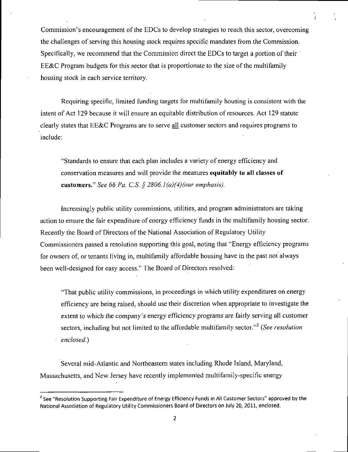Commission's encouragement of the EDCs to develop strategies to reach this sector, overcoming the challenges of serving this housing stock requires specific mandates from the Commission. Specifically, we recommend that the Commission direct the EDCs to target a portion of their EE&C Program budgets for this sector that is proportionate to the size of the multifamily housing stock in each service territory.

Requiring specific, limited funding targets for multifamily housing is consistent with the intent of Act 129 because it will ensure an equitable distribution of resources. Act 129 statute clearly states that EE&C Programs are to serve all customer sectors and requires programs to include:

*"Standards to ensure that each plan includes a variety of energy efficiency and conservation measures and will provide the measures equitably to all classes of customers." See 66 Pa. CS. § 2806.1 (a)(4)(our emphasis).* 

Increasingly public utility commissions, utilities, and program administrators are taking action to ensure the fair expenditure of energy efficiency funds in the multifamily housing sector. Recently the Board of Directors of the National Association of Regulatory Utility Commissioners passed a resolution supporting this goal, noting that "Energy efficiency programs for owners of, or tenants living in, multifamily affordable housing have in the past not always been well-designed for easy access." The Board of Directors resolved:

*"That public utility commissions, in proceedings in which utility expenditures on energy efficiency are being raised, should use their discretion when appropriate to investigate the extent to which the company's energy efficiency programs are fairly serving all customer sectors, including but not limited to the affordable multifamily sector."<sup>3</sup> (See resolution • enclosed.)* 

Several mid-Atlantic and Northeastern states including Rhode Island, Maryland, Massachusetts, and New Jersey have recently implemented multifamily-specific energy

<sup>3</sup> See "Resolution Supporting Fair Expenditure of Energy Efficiency Funds in All Customer Sectors" approved by the National Association of Regulatory Utility Commissioners Board of Directors on July 20, 2011, enclosed.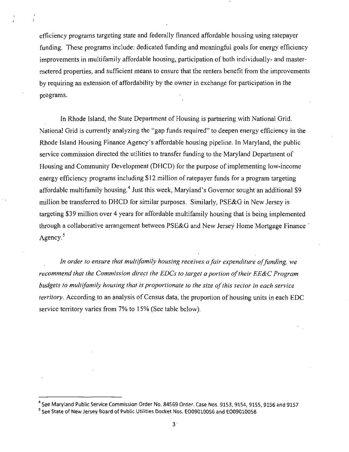efficiency programs targeting state and federally financed affordable housing using ratepayer funding. These programs include: dedicated funding and meaningful goals for energy efficiency improvements in multifamily affordable housing, participation of both individually- and mastermetered properties, and sufficient means to ensure that the renters benefit from the improvements by requiring an extension of affordability by the owner in exchange for participation in the programs.

In Rhode Island, the State Department of Housing is partnering with National Grid. National Grid is currently analyzing the "gap funds required" to deepen energy efficiency in the Rhode Island Housing Finance Agency's affordable housing pipeline. In Maryland, the public service commission directed the utilities to transfer funding to the Maryland Department of Housing and Community Development (DHCD) for the purpose of implementing low-income energy efficiency programs including \$12 million of ratepayer funds for a program targeting affordable multifamily housing.<sup>4</sup> Just this week, Maryland's Governor sought an additional \$9 million be transferred to DHCD for similar purposes. Similarly, PSE&G in New Jersey is targeting \$39 million over 4 years for affordable multifamily housing that is being implemented through a collaborative arrangement between PSE&G and New Jersey Home Mortgage Finance ' Agency.<sup>5</sup>

In order to ensure that multifamily housing receives a fair expenditure of funding, we recommend that the Commission direct the EDCs to,target a portion of their EE&C Program budgets to multifamily housing that is proportionate to the size of this sector in each service territory. According to an analysis of Census data, the proportion of housing units in each EDC service territory varies from 7% to 15% (See table below).

<sup>4</sup> See Maryland Public Service Commission Order No. 84569 Order. Case Nos. 9153, 9154, 9155,9156 and 9157

<sup>5</sup> See State of New Jersey Board of Public Utilities Docket Nos. EO09010056 and EO09010058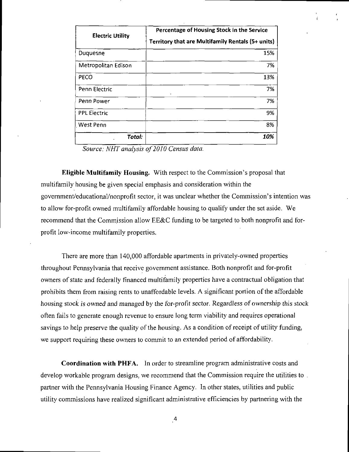| <b>Electric Utility</b> | Percentage of Housing Stock in the Service<br>Territory that are Multifamily Rentals (5+ units) |
|-------------------------|-------------------------------------------------------------------------------------------------|
| Duquesne                | 15%                                                                                             |
| Metropolitan Edison     | 7%                                                                                              |
| <b>PECO</b>             | 13%                                                                                             |
| <b>Penn Electric</b>    | 7%                                                                                              |
| Penn Power              | 7%                                                                                              |
| <b>PPL Electric</b>     | 9%                                                                                              |
| West Penn               | 8%                                                                                              |
| Total:                  | 10%                                                                                             |

*Source: NHT analysis of 2010 Census data.* 

Eligible Multifamily Housing. With respect to the Commission's proposal that multifamily housing be given special emphasis and consideration within the govemment/educational/nonprofit sector, it was unclear whether the Commission's intention was to allow for-profit owned multifamily affordable housing to qualify under the set aside. We recommend that the Commission allow EE&C funding to be targeted to both nonprofit and forprofit low-income multifamily properties.

There are more than 140,000 affordable apartments in privately-owned properties throughout Pennsylvania that receive government assistance. Both nonprofit and for-profit owners of state and federally financed multifamily properties have a contractual obligation that prohibits them from raising rents to unaffordable levels. A significant portion of the affordable housing stock is owned and managed by the for-profit sector. Regardless of ownership this stock often fails to generate enough revenue to ensure long term viability and requires operational savings to help preserve the quality of the housing. As a condition of receipt of utility funding, we support requiring these owners to commit to an extended period of affordability.

Coordination with PHFA. In order to streamline program administrative costs and develop workable program designs, we recommend that the Commission require the utilities to. partner with the Pennsylvania Housing Finance Agency. In other states, utilities and public utility commissions have realized significant administrative efficiencies by partnering with the

 $\mathbf{A}$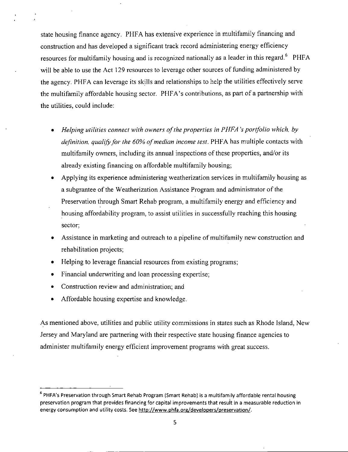state housing finance agency. PHFA has extensive experience in multifamily financing and construction and has developed a significant track record administering energy efficiency resources for multifamily housing and is recognized nationally as a leader in this regard. <sup>6</sup> PHFA will be able to use the Act 129 resources to leverage other sources of funding administered by the agency. PHFA can leverage its skills and relationships to help the utilities effectively serve the multifamily affordable housing sector. PHFA's contributions, as part of a partnership with the utilities, could include:

- Helping utilities connect with owners of the properties in PHFA's portfolio which, by definition, qualify for the 60% of median income test. PHFA has multiple contacts with multifamily owners, including its annual inspections of these properties, and/or its already existing financing on affordable multifamily housing;
- Applying its experience administering weatherization services in multifamily housing as a subgrantee of the Weatherization Assistance Program and administrator of the Preservation through Smart Rehab program, a multifamily energy and efficiency and housing affordability program, to assist utilities in successfully reaching this housing sector;
- Assistance in marketing and outreach to a pipeline of multifamily new construction and rehabilitation projects;
- Helping to leverage financial resources from existing programs;
- Financial underwriting and loan processing expertise;
- Construction review and administration; and
- Affordable housing expertise and knowledge.

As mentioned above, utilities and public utility commissions in states such as Rhode Island, New Jersey and Maryland are partnering with their respective state housing finance agencies to administer multifamily energy efficient improvement programs with great success.

<sup>6</sup> PHFA's Preservation through Smart Rehab Program (Smart Rehab) is a multifamily affordable rental housing preservation program that provides financing for capital improvements that result in a measurable reduction in energy consumption and utility costs. See http://www.phfa.org/developers/preservation/.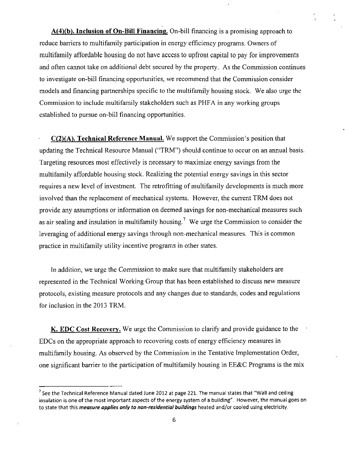$A(4)(b)$ . Inclusion of On-Bill Financing. On-bill financing is a promising approach to reduce barriers to multifamily participation in energy efficiency programs. Owners of multifamily affordable housing do not have access to upfront capital to pay for improvements and often cannot take on additional debt secured by the property. As the Commission continues to investigate on-bill financing opportunities, we recommend that the Commission consider models and financing partnerships specific to the multifamily housing stock. We also urge the Commission to include multifamily stakeholders such as PHFA in any working groups established to pursue on-bill financing opportunities.

 $C(2)(A)$ . Technical Reference Manual. We support the Commission's position that updating the Technical Resource Manual ("TRM") should continue to occur on an annual basis. Targeting resources most effectively is necessary to maximize energy savings from the multifamily affordable housing stock. Realizing the potential energy savings in this sector requires a new level of investment. The retrofitting of multifamily developments is much more involved than the replacement of mechanical systems. However, the current TRM does not provide any assumptions or information on deemed savings for non-mechanical measures such as air sealing and insulation in multifamily housing.<sup>7</sup> We urge the Commission to consider the leveraging of additional energy savings through non-mechanical measures. This is common practice in multifamily utility incentive programs in other states.

In addition, we urge the Commission to make sure that multifamily stakeholders are represented in the Technical Working Group that has been established to discuss new measure protocols, existing measure protocols and any changes due to standards, codes and regulations for inclusion in the 2013 TRM.

K. EDC Cost Recovery. We urge the Commission to clarify and provide guidance to the EDCs on the appropriate approach to recovering costs of energy efficiency measures in multifamily housing. As observed by the Commission in the Tentative Implementation Order, one significant barrier to the participation of multifamily housing in EE&C Programs is the mix

<sup>7</sup> See the Technical Reference Manual dated June 2012 at page 221. The manual states that "Wall and ceiling insulation is one of the most important aspects of the energy system of a building". However, the manual goes on to state that this *measure applies only to non-residential buildings* heated and/or cooled using electricity.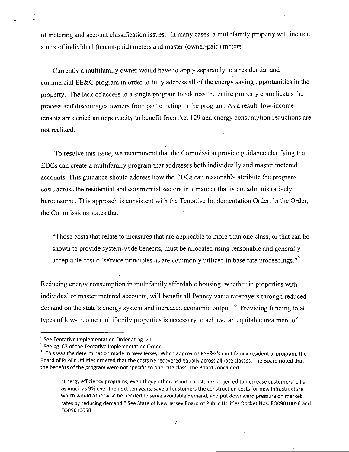of metering and account classification issues.<sup>8</sup> In many cases, a multifamily property will include a mix of individual (tenant-paid) meters and master (owner-paid) meters.

Currently a multifamily owner would have to apply separately to a residential and commercial EE&C program in order to fully address all of the energy saving opportunities in the property. The lack of access to a single program to address the entire property complicates the process and discourages owners from participating in the program. As a result, low-income tenants are denied an opportunity to benefit from Act 129 and energy consumption reductions are not realized.'

To resolve this issue, we recommend that the Commission provide guidance clarifying that EDCs can create a multifamily program that addresses both individually and master metered accounts. This guidance should address how the EDCs can reasonably attribute the program costs across the residential and commercial sectors in a manner that is not administratively burdensome. This approach is consistent with the Tentative Implementation Order. In the Order, the Commissions states that:

"Those costs that relate to measures that are applicable to more than one class, or that can be shown to provide system-wide benefits, must be allocated using reasonable and generally acceptable cost of service principles as are commonly utilized in base rate proceedings."<sup>9</sup>

Reducing energy consumption in multifamily affordable housing, whether in properties with individual or master metered accounts, will benefit all Pennsylvania ratepayers through reduced demand on the state's energy system and increased economic output.<sup>10</sup> Providing funding to all types of low-income multifamily properties is necessary to achieve an equitable treatment of

<sup>&</sup>lt;sup>8</sup> See Tentative Implementation Order at pg. 21

<sup>&</sup>lt;sup>9</sup> See pg. 67 of the Tentative Implementation Order

<sup>&</sup>quot; This was the determination made in New Jersey. When approving PSE&G's multifamily residential program, the Board of Public Utilities ordered that the costs be recovered equally across all rate classes. The Board noted that the benefits of the program were not specific to one rate class. The Board concluded:

<sup>&</sup>quot;Energy efficiency programs, even though there is initial cost, are projected to decrease customers' bills as much as 9% over the next ten years, save all customers the construction costs for new infrastructure which would otherwise be needed to serve avoidable demand, and put downward pressure on market rates by reducing demand." See State of New Jersey Board of Public Utilities Docket Nos. EO09010056 and EO09010058.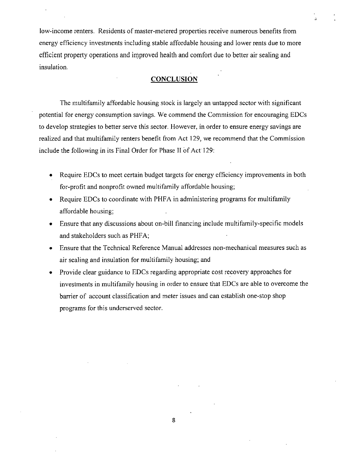low-income renters. Residents of master-metered properties receive numerous benefits from energy efficiency investments including stable affordable housing and lower rents due to more efficient property operations and improved health and comfort due to better air sealing and insulation.

## **CONCLUSION**

The multifamily affordable housing stock is largely an untapped sector with significant potential for energy consumption savings. We commend the Commission for encouraging EDCs to develop strategies to better serve this sector. However, in order to ensure energy savings are realized and that multifamily renters benefit from Act 129. we recommend that the Commission include the following in its Final Order for Phase II of Act 129:

- Require EDCs to meet certain budget targets for energy efficiency improvements in both for-profit and nonprofit owned multifamily affordable housing;
- Require EDCs to coordinate with PHFA in administering programs for multifamily affordable housing;
- Ensure that any discussions about on-bill financing include multifamily-specific models and stakeholders such as PHFA;
- Ensure that the Technical Reference Manual addresses non-mechanical measures such as air sealing and insulation for multifamily housing; and
- Provide clear guidance to EDCs regarding appropriate cost recovery approaches for investments in multifamily housing in order to ensure that EDCs are able to overcome the barrier of account classification and meter issues and can establish one-stop shop programs for this underserved sector.

8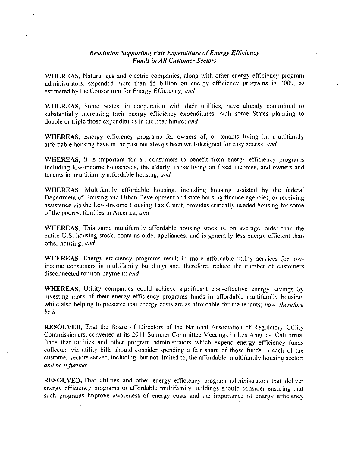## *Resolution Supporting Fair Expenditure of Energy Efficiency Funds in AH Customer Sectors*

*WHEREAS, Natural gas and electric companies, along with other energy efficiency program administrators, expended more than \$5 billion on energy efficiency programs in 2009, as estimated by the Consortium for Energy Efficiency; and* 

*WHEREAS, Some States, in cooperation with their utilities, have already committed to substantially increasing their energy efficiency expenditures, with some States planning to double or triple those expenditures in the near future; and* 

*WHEREAS, Energy efficiency programs for owners of, or tenants living in, multifamily affordable housing have in the past not always been well-designed for easy access; and* 

*WHEREAS. It is important for all consumers to benefit from energy efficiency programs including low-income households, the elderly, those living on fixed incomes, and owners and tenants in multifamily affordable housing; and* 

*WHEREAS. Multifamily affordable housing, including housing assisted by the federal Department of Housing and Urban Development and state housing finance agencies, or receiving assistance via the Low-Income Housing Tax Credit, provides critically needed housing for some of the poorest families in America; and* 

*WHEREAS. This same multifamily affordable housing stock is. on average, older than the entire U.S. housing stock; contains older appliances; and is generally less energy efficient than other housing; and* 

*WHEREAS, Energy efficiency programs result in more affordable utility services for lowincome consumers in multifamily buildings and, therefore, reduce the number of customers disconnected for non-payment; and* 

*WHEREAS, Utility companies could achieve significant cost-effective energy savings by investing more of their energy efficiency programs funds in affordable multifamily housing, while also helping to preserve that energy costs are as affordable for the tenants; now, therefore be it* 

*RESOLVED, That the Board of Directors of the National Association of Regulatory Utility Commissioners, convened at its 2011 Summer Committee Meetings in Los Angeles, California, finds that utilities and other program administrators which expend energy efficiency funds collected via utility bills should consider spending a fair share of those funds in each of the customer sectors served, including, but not limited to, the affordable, multifamily housing sector; and be it further* 

RESOLVED, That utilities and other energy efficiency program administrators that deliver energy efficiency programs to affordable multifamily buildings should consider ensuring that such programs improve awareness of energy costs and the importance of energy efficiency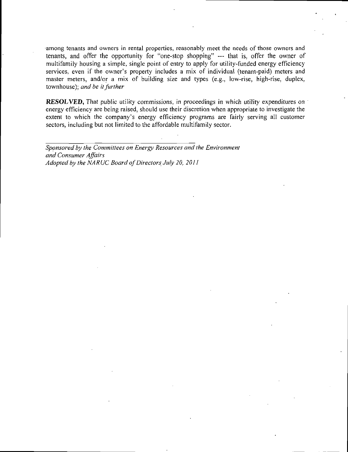*among tenants and owners in rental properties, reasonably meet the needs of those owners and tenants, and offer the opportunity for "one-stop shopping" — that is. offer the owner of multifamily housing a simple, single point of entry to apply for utility-funded energy efficiency services, even if the owner's property includes a mix of individual (tenant-paid) meters and master meters, and/or a mix of building size and types (e.g., low-rise, high-rise, duplex, townhouse); and be it further* 

RESOLVED, That public utility commissions, in proceedings in which utility expenditures on energy efficiency are being raised, should use their discretion when appropriate to investigate the extent to which the company's energy efficiency programs are fairly serving all customer sectors, including but not limited to the affordable multifamily sector.

*Sponsored by the Committees on Energy Resources and the Environment and Consumer Affairs Adopted by the NARUC Board of Directors July 20, 2011*